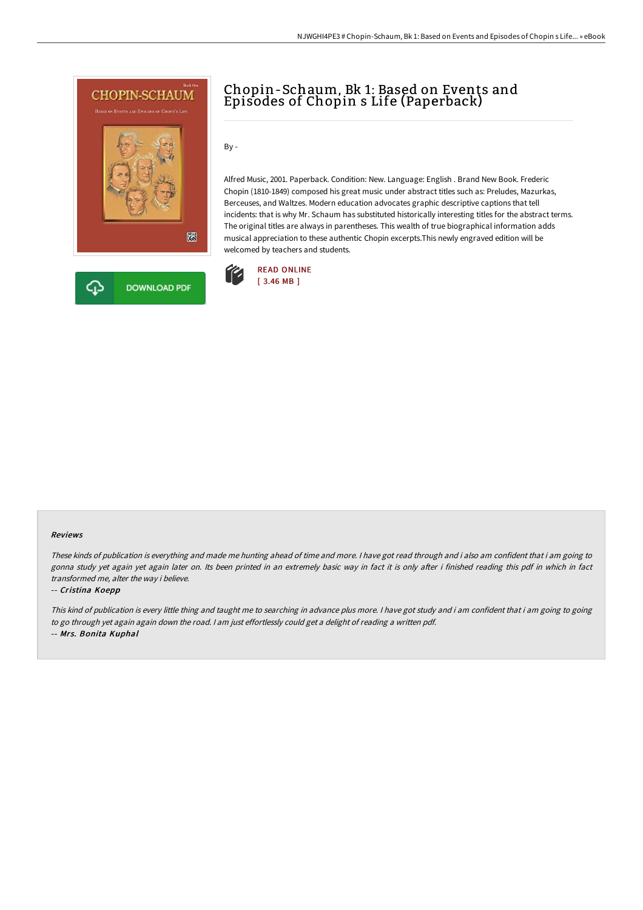

# Chopin-Schaum, Bk 1: Based on Events and Episodes of Chopin s Life (Paperback)

By -

Alfred Music, 2001. Paperback. Condition: New. Language: English . Brand New Book. Frederic Chopin (1810-1849) composed his great music under abstract titles such as: Preludes, Mazurkas, Berceuses, and Waltzes. Modern education advocates graphic descriptive captions that tell incidents: that is why Mr. Schaum has substituted historically interesting titles for the abstract terms. The original titles are always in parentheses. This wealth of true biographical information adds musical appreciation to these authentic Chopin excerpts.This newly engraved edition will be welcomed by teachers and students.



### Reviews

These kinds of publication is everything and made me hunting ahead of time and more. <sup>I</sup> have got read through and i also am confident that i am going to gonna study yet again yet again later on. Its been printed in an extremely basic way in fact it is only after i finished reading this pdf in which in fact transformed me, alter the way i believe.

### -- Cristina Koepp

This kind of publication is every little thing and taught me to searching in advance plus more. <sup>I</sup> have got study and i am confident that i am going to going to go through yet again again down the road. <sup>I</sup> am just effortlessly could get <sup>a</sup> delight of reading <sup>a</sup> written pdf. -- Mrs. Bonita Kuphal